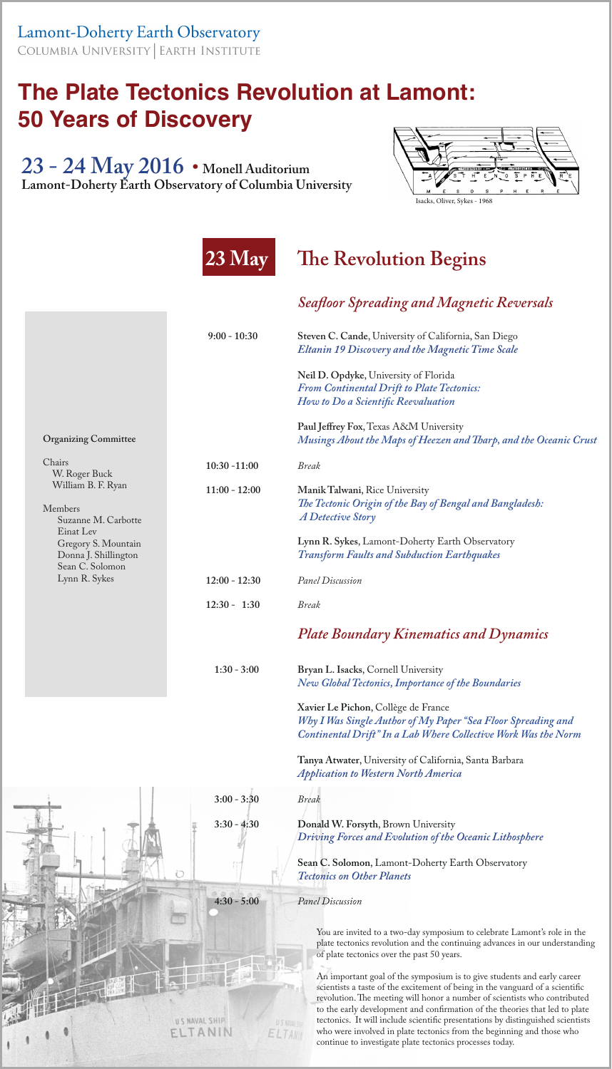**Lamont-Doherty Earth Observatory** COLUMBIA UNIVERSITY | EARTH INSTITUTE

## **The Plate Tectonics Revolution at Lamont: 50 Years of Discovery**

You are invited to a two-day symposium to celebrate Lamont's role in the plate tectonics revolution and the continuing advances in our understanding of plate tectonics over the past 50 years. An important goal of the symposium is to give students and early career  ļ

**23 - 24 May 2016 • Monell Auditorium Lamont-Doherty Earth Observatory of Columbia University**



Isacks, Oliver, Sykes - 1968

scientists a taste of the excitement of being in the vanguard of a scientific revolution. The meeting will honor a number of scientists who contributed to the early development and confirmation of the theories that led to plate tectonics. It will include scientific presentations by distinguished scientists who were involved in plate tectonics from the beginning and those who continue to investigate plate tectonics processes today.

**Organizing Committee**

## **23 May The Revolution Begins**

*Seafloor Spreading and Magnetic Reversals*

U S NAVAL SHIP

US MINIST

ELTANT

 **9:00 - 10:30****Steven C. Cande**, University of California, San Diego *Eltanin 19 Discovery and the Magnetic Time Scale*

> **Neil D. Opdyke**, University of Florida *From Continental Drift to Plate Tectonics: How to Do a Scientific Reevaluation*

 **Paul Jeffrey Fox**, Texas A&M University *Musings About the Maps of Heezen and Tharp, and the Oceanic Crust*

| Chairs                                                                                                                                                                       | $10:30 - 11:00$                    | <i>Break</i>                                                                                                                                                                                                                                               |
|------------------------------------------------------------------------------------------------------------------------------------------------------------------------------|------------------------------------|------------------------------------------------------------------------------------------------------------------------------------------------------------------------------------------------------------------------------------------------------------|
| W. Roger Buck<br>William B. F. Ryan<br><b>Members</b><br>Suzanne M. Carbotte<br>Einat Lev<br>Gregory S. Mountain<br>Donna J. Shillington<br>Sean C. Solomon<br>Lynn R. Sykes | $11:00 - 12:00$<br>$12:00 - 12:30$ | Manik Talwani, Rice University<br>The Tectonic Origin of the Bay of Bengal and Bangladesh:<br><b>A Detective Story</b><br>Lynn R. Sykes, Lamont-Doherty Earth Observatory<br><b>Transform Faults and Subduction Earthquakes</b><br><b>Panel Discussion</b> |
|                                                                                                                                                                              | $12:30 - 1:30$                     | <i>Break</i>                                                                                                                                                                                                                                               |
|                                                                                                                                                                              |                                    | <b>Plate Boundary Kinematics and Dynamics</b>                                                                                                                                                                                                              |
|                                                                                                                                                                              | $1:30 - 3:00$                      | Bryan L. Isacks, Cornell University<br>New Global Tectonics, Importance of the Boundaries                                                                                                                                                                  |
|                                                                                                                                                                              |                                    | Xavier Le Pichon, Collège de France<br>Why I Was Single Author of My Paper "Sea Floor Spreading and<br>Continental Drift" In a Lab Where Collective Work Was the Norm                                                                                      |
|                                                                                                                                                                              |                                    | Tanya Atwater, University of California, Santa Barbara<br><b>Application to Western North America</b>                                                                                                                                                      |
|                                                                                                                                                                              | $3:00 - 3:30$                      | <b>Break</b>                                                                                                                                                                                                                                               |
|                                                                                                                                                                              | $3:30 - 4:30$                      | Donald W. Forsyth, Brown University<br>Driving Forces and Evolution of the Oceanic Lithosphere                                                                                                                                                             |
|                                                                                                                                                                              |                                    | Sean C. Solomon, Lamont-Doherty Earth Observatory<br><b>Tectonics on Other Planets</b>                                                                                                                                                                     |
|                                                                                                                                                                              | $4:30 - 5:00$                      | <b>Panel Discussion</b>                                                                                                                                                                                                                                    |
|                                                                                                                                                                              |                                    |                                                                                                                                                                                                                                                            |